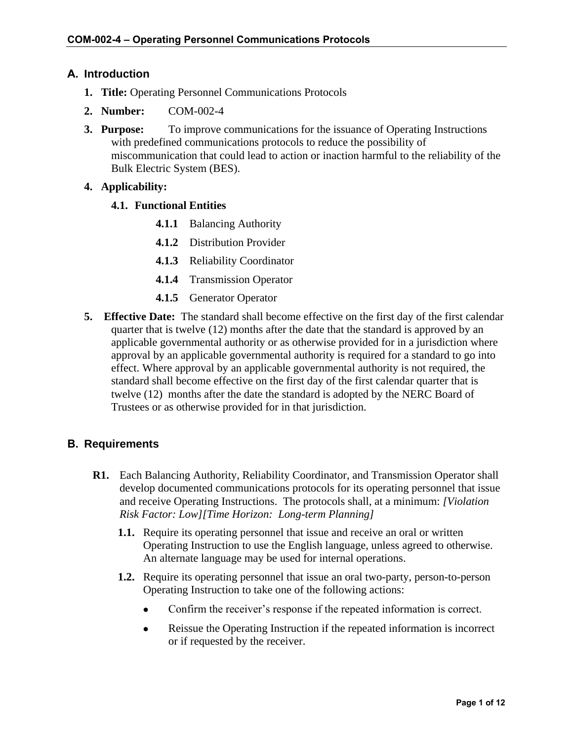#### **A. Introduction**

- **1. Title:** Operating Personnel Communications Protocols
- **2. Number:** COM-002-4
- **3. Purpose:** To improve communications for the issuance of Operating Instructions with predefined communications protocols to reduce the possibility of miscommunication that could lead to action or inaction harmful to the reliability of the Bulk Electric System (BES).

#### **4. Applicability:**

- **4.1. Functional Entities**
	- **4.1.1** Balancing Authority
	- **4.1.2** Distribution Provider
	- **4.1.3** Reliability Coordinator
	- **4.1.4** Transmission Operator
	- **4.1.5** Generator Operator
- **5. Effective Date:** The standard shall become effective on the first day of the first calendar quarter that is twelve (12) months after the date that the standard is approved by an applicable governmental authority or as otherwise provided for in a jurisdiction where approval by an applicable governmental authority is required for a standard to go into effect. Where approval by an applicable governmental authority is not required, the standard shall become effective on the first day of the first calendar quarter that is twelve (12) months after the date the standard is adopted by the NERC Board of Trustees or as otherwise provided for in that jurisdiction.

# **B. Requirements**

- **R1.** Each Balancing Authority, Reliability Coordinator, and Transmission Operator shall develop documented communications protocols for its operating personnel that issue and receive Operating Instructions. The protocols shall, at a minimum: *[Violation Risk Factor: Low][Time Horizon: Long-term Planning]*
	- **1.1.** Require its operating personnel that issue and receive an oral or written Operating Instruction to use the English language, unless agreed to otherwise. An alternate language may be used for internal operations.
	- **1.2.** Require its operating personnel that issue an oral two-party, person-to-person Operating Instruction to take one of the following actions:
		- Confirm the receiver's response if the repeated information is correct.
		- Reissue the Operating Instruction if the repeated information is incorrect or if requested by the receiver.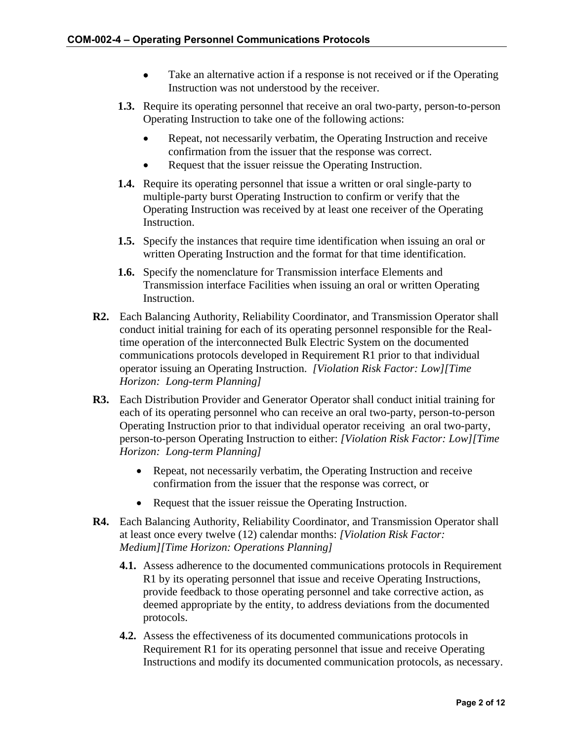- Take an alternative action if a response is not received or if the Operating Instruction was not understood by the receiver.
- **1.3.** Require its operating personnel that receive an oral two-party, person-to-person Operating Instruction to take one of the following actions:
	- Repeat, not necessarily verbatim, the Operating Instruction and receive confirmation from the issuer that the response was correct.
	- Request that the issuer reissue the Operating Instruction.
- **1.4.** Require its operating personnel that issue a written or oral single-party to multiple-party burst Operating Instruction to confirm or verify that the Operating Instruction was received by at least one receiver of the Operating Instruction.
- **1.5.** Specify the instances that require time identification when issuing an oral or written Operating Instruction and the format for that time identification.
- **1.6.** Specify the nomenclature for Transmission interface Elements and Transmission interface Facilities when issuing an oral or written Operating Instruction.
- **R2.** Each Balancing Authority, Reliability Coordinator, and Transmission Operator shall conduct initial training for each of its operating personnel responsible for the Realtime operation of the interconnected Bulk Electric System on the documented communications protocols developed in Requirement R1 prior to that individual operator issuing an Operating Instruction. *[Violation Risk Factor: Low][Time Horizon: Long-term Planning]*
- **R3.** Each Distribution Provider and Generator Operator shall conduct initial training for each of its operating personnel who can receive an oral two-party, person-to-person Operating Instruction prior to that individual operator receiving an oral two-party, person-to-person Operating Instruction to either: *[Violation Risk Factor: Low][Time Horizon: Long-term Planning]*
	- Repeat, not necessarily verbatim, the Operating Instruction and receive confirmation from the issuer that the response was correct, or
	- Request that the issuer reissue the Operating Instruction.
- **R4.** Each Balancing Authority, Reliability Coordinator, and Transmission Operator shall at least once every twelve (12) calendar months: *[Violation Risk Factor: Medium][Time Horizon: Operations Planning]*
	- **4.1.** Assess adherence to the documented communications protocols in Requirement R1 by its operating personnel that issue and receive Operating Instructions, provide feedback to those operating personnel and take corrective action, as deemed appropriate by the entity, to address deviations from the documented protocols.
	- **4.2.** Assess the effectiveness of its documented communications protocols in Requirement R1 for its operating personnel that issue and receive Operating Instructions and modify its documented communication protocols, as necessary.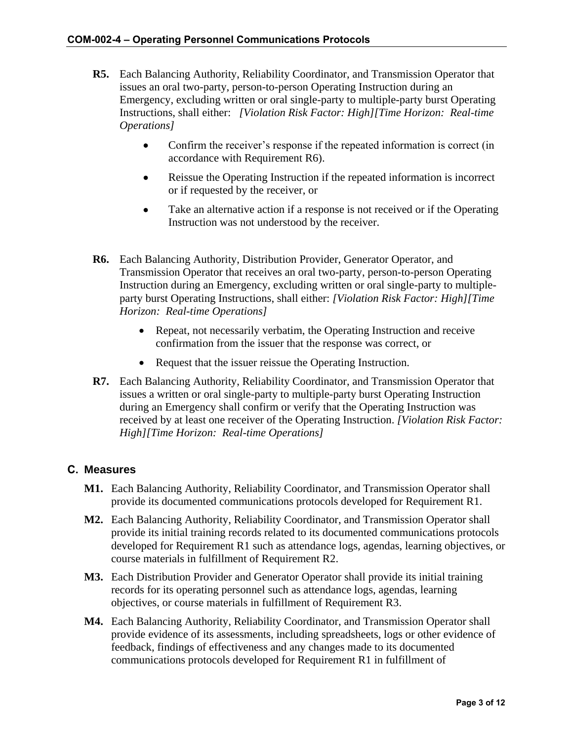- **R5.** Each Balancing Authority, Reliability Coordinator, and Transmission Operator that issues an oral two-party, person-to-person Operating Instruction during an Emergency, excluding written or oral single-party to multiple-party burst Operating Instructions, shall either: *[Violation Risk Factor: High][Time Horizon: Real-time Operations]*
	- Confirm the receiver's response if the repeated information is correct (in accordance with Requirement R6).
	- Reissue the Operating Instruction if the repeated information is incorrect or if requested by the receiver, or
	- Take an alternative action if a response is not received or if the Operating Instruction was not understood by the receiver.
- **R6.** Each Balancing Authority, Distribution Provider, Generator Operator, and Transmission Operator that receives an oral two-party, person-to-person Operating Instruction during an Emergency, excluding written or oral single-party to multipleparty burst Operating Instructions, shall either: *[Violation Risk Factor: High][Time Horizon: Real-time Operations]*
	- Repeat, not necessarily verbatim, the Operating Instruction and receive confirmation from the issuer that the response was correct, or
	- Request that the issuer reissue the Operating Instruction.
- **R7.** Each Balancing Authority, Reliability Coordinator, and Transmission Operator that issues a written or oral single-party to multiple-party burst Operating Instruction during an Emergency shall confirm or verify that the Operating Instruction was received by at least one receiver of the Operating Instruction. *[Violation Risk Factor: High][Time Horizon: Real-time Operations]*

# **C. Measures**

- **M1.** Each Balancing Authority, Reliability Coordinator, and Transmission Operator shall provide its documented communications protocols developed for Requirement R1.
- **M2.** Each Balancing Authority, Reliability Coordinator, and Transmission Operator shall provide its initial training records related to its documented communications protocols developed for Requirement R1 such as attendance logs, agendas, learning objectives, or course materials in fulfillment of Requirement R2.
- **M3.** Each Distribution Provider and Generator Operator shall provide its initial training records for its operating personnel such as attendance logs, agendas, learning objectives, or course materials in fulfillment of Requirement R3.
- **M4.** Each Balancing Authority, Reliability Coordinator, and Transmission Operator shall provide evidence of its assessments, including spreadsheets, logs or other evidence of feedback, findings of effectiveness and any changes made to its documented communications protocols developed for Requirement R1 in fulfillment of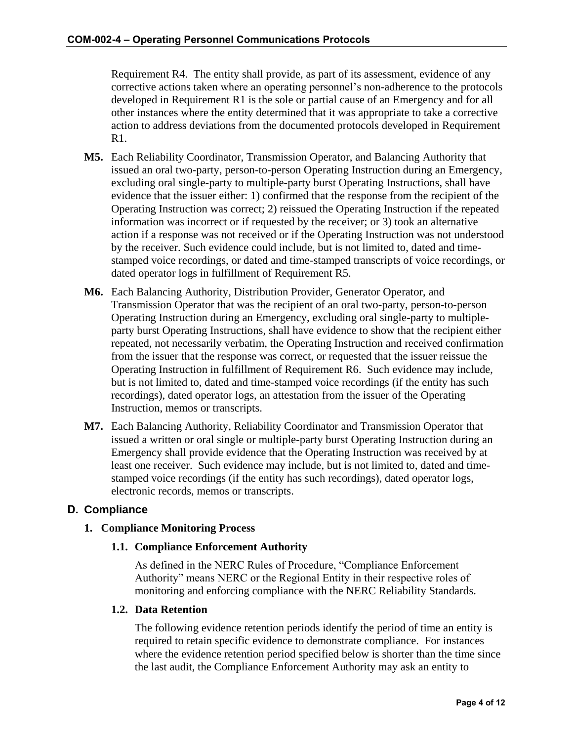Requirement R4. The entity shall provide, as part of its assessment, evidence of any corrective actions taken where an operating personnel's non-adherence to the protocols developed in Requirement R1 is the sole or partial cause of an Emergency and for all other instances where the entity determined that it was appropriate to take a corrective action to address deviations from the documented protocols developed in Requirement R1.

- **M5.** Each Reliability Coordinator, Transmission Operator, and Balancing Authority that issued an oral two-party, person-to-person Operating Instruction during an Emergency, excluding oral single-party to multiple-party burst Operating Instructions, shall have evidence that the issuer either: 1) confirmed that the response from the recipient of the Operating Instruction was correct; 2) reissued the Operating Instruction if the repeated information was incorrect or if requested by the receiver; or 3) took an alternative action if a response was not received or if the Operating Instruction was not understood by the receiver. Such evidence could include, but is not limited to, dated and timestamped voice recordings, or dated and time-stamped transcripts of voice recordings, or dated operator logs in fulfillment of Requirement R5.
- **M6.** Each Balancing Authority, Distribution Provider, Generator Operator, and Transmission Operator that was the recipient of an oral two-party, person-to-person Operating Instruction during an Emergency, excluding oral single-party to multipleparty burst Operating Instructions, shall have evidence to show that the recipient either repeated, not necessarily verbatim, the Operating Instruction and received confirmation from the issuer that the response was correct, or requested that the issuer reissue the Operating Instruction in fulfillment of Requirement R6. Such evidence may include, but is not limited to, dated and time-stamped voice recordings (if the entity has such recordings), dated operator logs, an attestation from the issuer of the Operating Instruction, memos or transcripts.
- **M7.** Each Balancing Authority, Reliability Coordinator and Transmission Operator that issued a written or oral single or multiple-party burst Operating Instruction during an Emergency shall provide evidence that the Operating Instruction was received by at least one receiver. Such evidence may include, but is not limited to, dated and timestamped voice recordings (if the entity has such recordings), dated operator logs, electronic records, memos or transcripts.

# **D. Compliance**

#### **1. Compliance Monitoring Process**

# **1.1. Compliance Enforcement Authority**

As defined in the NERC Rules of Procedure, "Compliance Enforcement Authority" means NERC or the Regional Entity in their respective roles of monitoring and enforcing compliance with the NERC Reliability Standards.

### **1.2. Data Retention**

The following evidence retention periods identify the period of time an entity is required to retain specific evidence to demonstrate compliance. For instances where the evidence retention period specified below is shorter than the time since the last audit, the Compliance Enforcement Authority may ask an entity to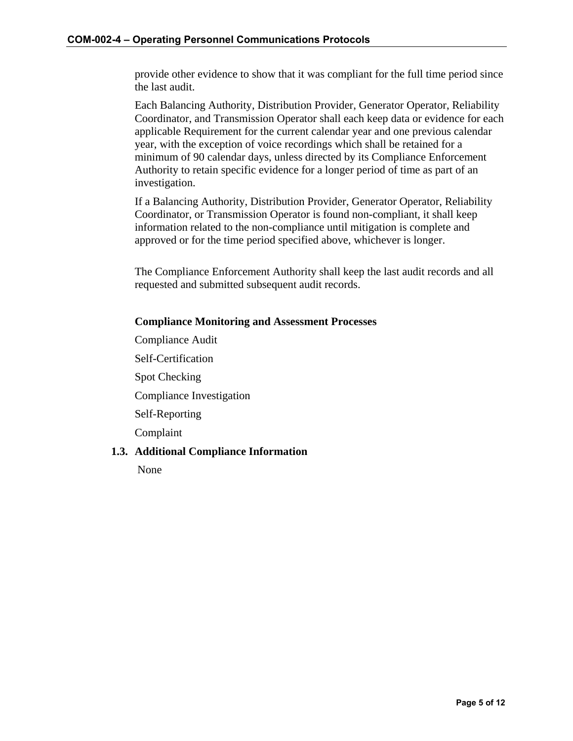provide other evidence to show that it was compliant for the full time period since the last audit.

Each Balancing Authority, Distribution Provider, Generator Operator, Reliability Coordinator, and Transmission Operator shall each keep data or evidence for each applicable Requirement for the current calendar year and one previous calendar year, with the exception of voice recordings which shall be retained for a minimum of 90 calendar days, unless directed by its Compliance Enforcement Authority to retain specific evidence for a longer period of time as part of an investigation.

If a Balancing Authority, Distribution Provider, Generator Operator, Reliability Coordinator, or Transmission Operator is found non-compliant, it shall keep information related to the non-compliance until mitigation is complete and approved or for the time period specified above, whichever is longer.

The Compliance Enforcement Authority shall keep the last audit records and all requested and submitted subsequent audit records.

#### **Compliance Monitoring and Assessment Processes**

Compliance Audit Self-Certification Spot Checking Compliance Investigation Self-Reporting Complaint

#### **1.3. Additional Compliance Information**

None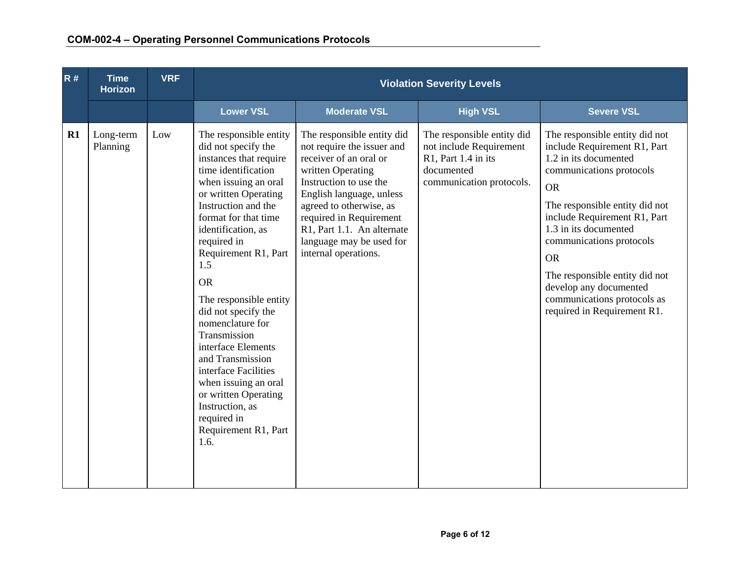| R# | <b>Time</b><br><b>Horizon</b> | <b>VRF</b> | <b>Violation Severity Levels</b>                                                                                                                                                                                                                                                                                                                                                                                                                                                                                                                        |                                                                                                                                                                                                                                                                                                       |                                                                                                                        |                                                                                                                                                                                                                                                                                                                                                                                                |
|----|-------------------------------|------------|---------------------------------------------------------------------------------------------------------------------------------------------------------------------------------------------------------------------------------------------------------------------------------------------------------------------------------------------------------------------------------------------------------------------------------------------------------------------------------------------------------------------------------------------------------|-------------------------------------------------------------------------------------------------------------------------------------------------------------------------------------------------------------------------------------------------------------------------------------------------------|------------------------------------------------------------------------------------------------------------------------|------------------------------------------------------------------------------------------------------------------------------------------------------------------------------------------------------------------------------------------------------------------------------------------------------------------------------------------------------------------------------------------------|
|    |                               |            | <b>Lower VSL</b>                                                                                                                                                                                                                                                                                                                                                                                                                                                                                                                                        | <b>Moderate VSL</b>                                                                                                                                                                                                                                                                                   | <b>High VSL</b>                                                                                                        | <b>Severe VSL</b>                                                                                                                                                                                                                                                                                                                                                                              |
| R1 | Long-term<br>Planning         | Low        | The responsible entity<br>did not specify the<br>instances that require<br>time identification<br>when issuing an oral<br>or written Operating<br>Instruction and the<br>format for that time<br>identification, as<br>required in<br>Requirement R1, Part<br>1.5<br><b>OR</b><br>The responsible entity<br>did not specify the<br>nomenclature for<br>Transmission<br>interface Elements<br>and Transmission<br>interface Facilities<br>when issuing an oral<br>or written Operating<br>Instruction, as<br>required in<br>Requirement R1, Part<br>1.6. | The responsible entity did<br>not require the issuer and<br>receiver of an oral or<br>written Operating<br>Instruction to use the<br>English language, unless<br>agreed to otherwise, as<br>required in Requirement<br>R1, Part 1.1. An alternate<br>language may be used for<br>internal operations. | The responsible entity did<br>not include Requirement<br>R1, Part 1.4 in its<br>documented<br>communication protocols. | The responsible entity did not<br>include Requirement R1, Part<br>1.2 in its documented<br>communications protocols<br><b>OR</b><br>The responsible entity did not<br>include Requirement R1, Part<br>1.3 in its documented<br>communications protocols<br><b>OR</b><br>The responsible entity did not<br>develop any documented<br>communications protocols as<br>required in Requirement R1. |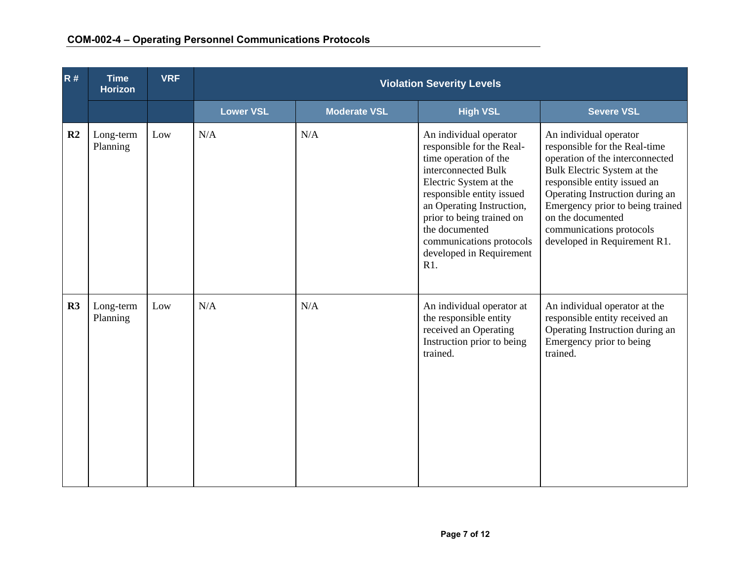| R# | <b>Time</b><br><b>Horizon</b> | <b>VRF</b> | <b>Violation Severity Levels</b> |                     |                                                                                                                                                                                                                                                                                                       |                                                                                                                                                                                                                                                                                                                   |  |
|----|-------------------------------|------------|----------------------------------|---------------------|-------------------------------------------------------------------------------------------------------------------------------------------------------------------------------------------------------------------------------------------------------------------------------------------------------|-------------------------------------------------------------------------------------------------------------------------------------------------------------------------------------------------------------------------------------------------------------------------------------------------------------------|--|
|    |                               |            | <b>Lower VSL</b>                 | <b>Moderate VSL</b> | <b>High VSL</b>                                                                                                                                                                                                                                                                                       | <b>Severe VSL</b>                                                                                                                                                                                                                                                                                                 |  |
| R2 | Long-term<br>Planning         | Low        | N/A                              | N/A                 | An individual operator<br>responsible for the Real-<br>time operation of the<br>interconnected Bulk<br>Electric System at the<br>responsible entity issued<br>an Operating Instruction,<br>prior to being trained on<br>the documented<br>communications protocols<br>developed in Requirement<br>R1. | An individual operator<br>responsible for the Real-time<br>operation of the interconnected<br>Bulk Electric System at the<br>responsible entity issued an<br>Operating Instruction during an<br>Emergency prior to being trained<br>on the documented<br>communications protocols<br>developed in Requirement R1. |  |
| R3 | Long-term<br>Planning         | Low        | N/A                              | N/A                 | An individual operator at<br>the responsible entity<br>received an Operating<br>Instruction prior to being<br>trained.                                                                                                                                                                                | An individual operator at the<br>responsible entity received an<br>Operating Instruction during an<br>Emergency prior to being<br>trained.                                                                                                                                                                        |  |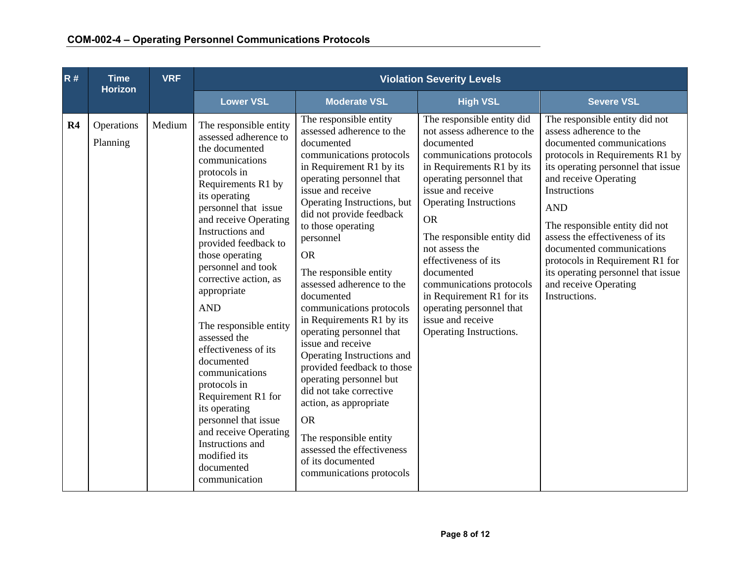| <b>R#</b> | <b>Time</b><br><b>Horizon</b> | <b>VRF</b> | <b>Violation Severity Levels</b>                                                                                                                                                                                                                                                                                                                                                                                                                                                                                                                                                                                    |                                                                                                                                                                                                                                                                                                                                                                                                                                                                                                                                                                                                                                                                                                                                        |                                                                                                                                                                                                                                                                                                                                                                                                                                                            |                                                                                                                                                                                                                                                                                                                                                                                                                                                    |  |
|-----------|-------------------------------|------------|---------------------------------------------------------------------------------------------------------------------------------------------------------------------------------------------------------------------------------------------------------------------------------------------------------------------------------------------------------------------------------------------------------------------------------------------------------------------------------------------------------------------------------------------------------------------------------------------------------------------|----------------------------------------------------------------------------------------------------------------------------------------------------------------------------------------------------------------------------------------------------------------------------------------------------------------------------------------------------------------------------------------------------------------------------------------------------------------------------------------------------------------------------------------------------------------------------------------------------------------------------------------------------------------------------------------------------------------------------------------|------------------------------------------------------------------------------------------------------------------------------------------------------------------------------------------------------------------------------------------------------------------------------------------------------------------------------------------------------------------------------------------------------------------------------------------------------------|----------------------------------------------------------------------------------------------------------------------------------------------------------------------------------------------------------------------------------------------------------------------------------------------------------------------------------------------------------------------------------------------------------------------------------------------------|--|
|           |                               |            | <b>Lower VSL</b>                                                                                                                                                                                                                                                                                                                                                                                                                                                                                                                                                                                                    | <b>Moderate VSL</b>                                                                                                                                                                                                                                                                                                                                                                                                                                                                                                                                                                                                                                                                                                                    | <b>High VSL</b>                                                                                                                                                                                                                                                                                                                                                                                                                                            | <b>Severe VSL</b>                                                                                                                                                                                                                                                                                                                                                                                                                                  |  |
| R4        | Operations<br>Planning        | Medium     | The responsible entity<br>assessed adherence to<br>the documented<br>communications<br>protocols in<br>Requirements R1 by<br>its operating<br>personnel that issue<br>and receive Operating<br>Instructions and<br>provided feedback to<br>those operating<br>personnel and took<br>corrective action, as<br>appropriate<br><b>AND</b><br>The responsible entity<br>assessed the<br>effectiveness of its<br>documented<br>communications<br>protocols in<br>Requirement R1 for<br>its operating<br>personnel that issue<br>and receive Operating<br>Instructions and<br>modified its<br>documented<br>communication | The responsible entity<br>assessed adherence to the<br>documented<br>communications protocols<br>in Requirement R1 by its<br>operating personnel that<br>issue and receive<br>Operating Instructions, but<br>did not provide feedback<br>to those operating<br>personnel<br><b>OR</b><br>The responsible entity<br>assessed adherence to the<br>documented<br>communications protocols<br>in Requirements R1 by its<br>operating personnel that<br>issue and receive<br>Operating Instructions and<br>provided feedback to those<br>operating personnel but<br>did not take corrective<br>action, as appropriate<br><b>OR</b><br>The responsible entity<br>assessed the effectiveness<br>of its documented<br>communications protocols | The responsible entity did<br>not assess adherence to the<br>documented<br>communications protocols<br>in Requirements R1 by its<br>operating personnel that<br>issue and receive<br><b>Operating Instructions</b><br><b>OR</b><br>The responsible entity did<br>not assess the<br>effectiveness of its<br>documented<br>communications protocols<br>in Requirement R1 for its<br>operating personnel that<br>issue and receive<br>Operating Instructions. | The responsible entity did not<br>assess adherence to the<br>documented communications<br>protocols in Requirements R1 by<br>its operating personnel that issue<br>and receive Operating<br><b>Instructions</b><br><b>AND</b><br>The responsible entity did not<br>assess the effectiveness of its<br>documented communications<br>protocols in Requirement R1 for<br>its operating personnel that issue<br>and receive Operating<br>Instructions. |  |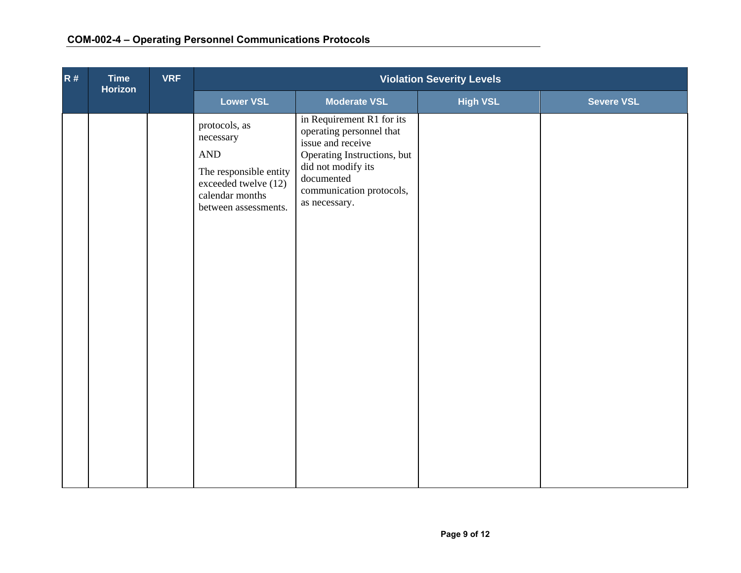|  | <b>COM-002-4 - Operating Personnel Communications Protocols</b> |
|--|-----------------------------------------------------------------|
|--|-----------------------------------------------------------------|

| R# | <b>Time</b><br>Horizon | <b>VRF</b> | <b>Violation Severity Levels</b>                                                                                                                |                                                                                                                                                                                            |                 |                   |
|----|------------------------|------------|-------------------------------------------------------------------------------------------------------------------------------------------------|--------------------------------------------------------------------------------------------------------------------------------------------------------------------------------------------|-----------------|-------------------|
|    |                        |            | <b>Lower VSL</b>                                                                                                                                | Moderate VSL                                                                                                                                                                               | <b>High VSL</b> | <b>Severe VSL</b> |
|    |                        |            | protocols, as<br>necessary<br>$\operatorname{AND}$<br>The responsible entity<br>exceeded twelve (12)<br>calendar months<br>between assessments. | in Requirement R1 for its<br>operating personnel that<br>issue and receive<br>Operating Instructions, but<br>did not modify its<br>documented<br>communication protocols,<br>as necessary. |                 |                   |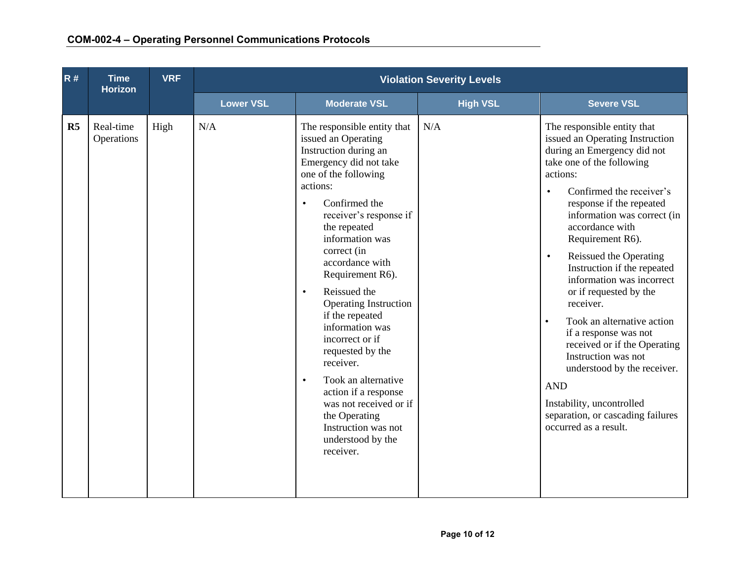| R# | <b>Time</b><br><b>Horizon</b> | <b>VRF</b> | <b>Violation Severity Levels</b> |                                                                                                                                                                                                                                                                                                                                                                                                                                                                                                                                                                                                                   |                 |                                                                                                                                                                                                                                                                                                                                                                                                                                                                                                                                                                                                                                                                                                |
|----|-------------------------------|------------|----------------------------------|-------------------------------------------------------------------------------------------------------------------------------------------------------------------------------------------------------------------------------------------------------------------------------------------------------------------------------------------------------------------------------------------------------------------------------------------------------------------------------------------------------------------------------------------------------------------------------------------------------------------|-----------------|------------------------------------------------------------------------------------------------------------------------------------------------------------------------------------------------------------------------------------------------------------------------------------------------------------------------------------------------------------------------------------------------------------------------------------------------------------------------------------------------------------------------------------------------------------------------------------------------------------------------------------------------------------------------------------------------|
|    |                               |            | <b>Lower VSL</b>                 | <b>Moderate VSL</b>                                                                                                                                                                                                                                                                                                                                                                                                                                                                                                                                                                                               | <b>High VSL</b> | <b>Severe VSL</b>                                                                                                                                                                                                                                                                                                                                                                                                                                                                                                                                                                                                                                                                              |
| R5 | Real-time<br>Operations       | High       | N/A                              | The responsible entity that<br>issued an Operating<br>Instruction during an<br>Emergency did not take<br>one of the following<br>actions:<br>Confirmed the<br>$\bullet$<br>receiver's response if<br>the repeated<br>information was<br>correct (in<br>accordance with<br>Requirement R6).<br>Reissued the<br>$\bullet$<br><b>Operating Instruction</b><br>if the repeated<br>information was<br>incorrect or if<br>requested by the<br>receiver.<br>Took an alternative<br>$\bullet$<br>action if a response<br>was not received or if<br>the Operating<br>Instruction was not<br>understood by the<br>receiver. | N/A             | The responsible entity that<br>issued an Operating Instruction<br>during an Emergency did not<br>take one of the following<br>actions:<br>Confirmed the receiver's<br>$\bullet$<br>response if the repeated<br>information was correct (in<br>accordance with<br>Requirement R6).<br>Reissued the Operating<br>$\bullet$<br>Instruction if the repeated<br>information was incorrect<br>or if requested by the<br>receiver.<br>Took an alternative action<br>$\bullet$<br>if a response was not<br>received or if the Operating<br>Instruction was not<br>understood by the receiver.<br><b>AND</b><br>Instability, uncontrolled<br>separation, or cascading failures<br>occurred as a result. |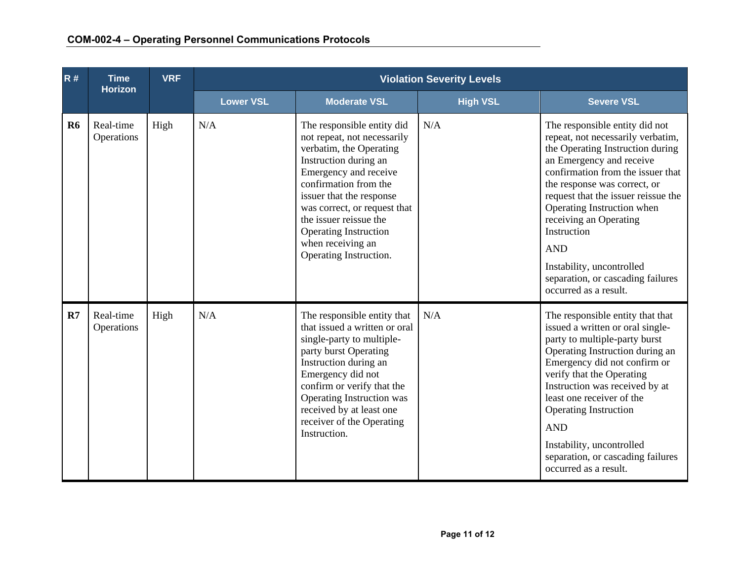| R#<br><b>VRF</b><br><b>Time</b><br><b>Violation Severity Levels</b><br><b>Horizon</b> |                         |      |                  |                                                                                                                                                                                                                                                                                                                                      |                 |                                                                                                                                                                                                                                                                                                                                                                                                                                 |
|---------------------------------------------------------------------------------------|-------------------------|------|------------------|--------------------------------------------------------------------------------------------------------------------------------------------------------------------------------------------------------------------------------------------------------------------------------------------------------------------------------------|-----------------|---------------------------------------------------------------------------------------------------------------------------------------------------------------------------------------------------------------------------------------------------------------------------------------------------------------------------------------------------------------------------------------------------------------------------------|
|                                                                                       |                         |      | <b>Lower VSL</b> | <b>Moderate VSL</b>                                                                                                                                                                                                                                                                                                                  | <b>High VSL</b> | <b>Severe VSL</b>                                                                                                                                                                                                                                                                                                                                                                                                               |
| <b>R6</b>                                                                             | Real-time<br>Operations | High | N/A              | The responsible entity did<br>not repeat, not necessarily<br>verbatim, the Operating<br>Instruction during an<br>Emergency and receive<br>confirmation from the<br>issuer that the response<br>was correct, or request that<br>the issuer reissue the<br><b>Operating Instruction</b><br>when receiving an<br>Operating Instruction. | N/A             | The responsible entity did not<br>repeat, not necessarily verbatim,<br>the Operating Instruction during<br>an Emergency and receive<br>confirmation from the issuer that<br>the response was correct, or<br>request that the issuer reissue the<br>Operating Instruction when<br>receiving an Operating<br>Instruction<br><b>AND</b><br>Instability, uncontrolled<br>separation, or cascading failures<br>occurred as a result. |
| R7                                                                                    | Real-time<br>Operations | High | N/A              | The responsible entity that<br>that issued a written or oral<br>single-party to multiple-<br>party burst Operating<br>Instruction during an<br>Emergency did not<br>confirm or verify that the<br>Operating Instruction was<br>received by at least one<br>receiver of the Operating<br>Instruction.                                 | N/A             | The responsible entity that that<br>issued a written or oral single-<br>party to multiple-party burst<br>Operating Instruction during an<br>Emergency did not confirm or<br>verify that the Operating<br>Instruction was received by at<br>least one receiver of the<br><b>Operating Instruction</b><br><b>AND</b><br>Instability, uncontrolled<br>separation, or cascading failures<br>occurred as a result.                   |